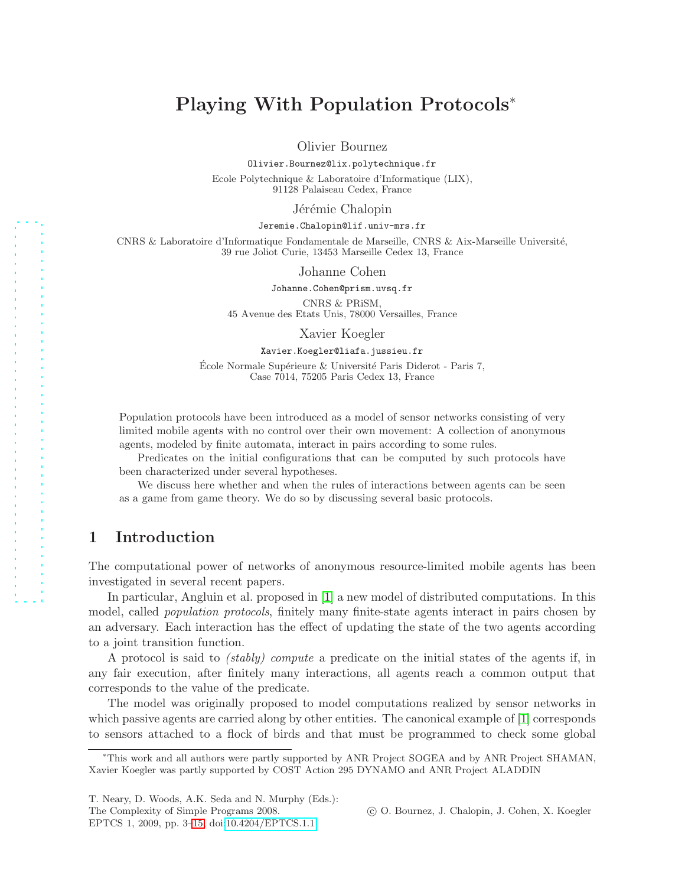# Playing With Population Protocols<sup>∗</sup>

Olivier Bournez

Olivier.Bournez@lix.polytechnique.fr

Ecole Polytechnique & Laboratoire d'Informatique (LIX), 91128 Palaiseau Cedex, France

Jérémie Chalopin

#### Jeremie.Chalopin@lif.univ-mrs.fr

CNRS & Laboratoire d'Informatique Fondamentale de Marseille, CNRS & Aix-Marseille Universit´e, 39 rue Joliot Curie, 13453 Marseille Cedex 13, France

Johanne Cohen

Johanne.Cohen@prism.uvsq.fr

CNRS & PRiSM, 45 Avenue des Etats Unis, 78000 Versailles, France

Xavier Koegler

#### Xavier.Koegler@liafa.jussieu.fr

 $\acute{E}$ cole Normale Supérieure & Université Paris Diderot - Paris 7, Case 7014, 75205 Paris Cedex 13, France

Population protocols have been introduced as a model of sensor networks consisting of very limited mobile agents with no control over their own movement: A collection of anonymous agents, modeled by finite automata, interact in pairs according to some rules.

Predicates on the initial configurations that can be computed by such protocols have been characterized under several hypotheses.

We discuss here whether and when the rules of interactions between agents can be seen as a game from game theory. We do so by discussing several basic protocols.

# 1 Introduction

The computational power of networks of anonymous resource-limited mobile agents has been investigated in several recent papers.

In particular, Angluin et al. proposed in [\[1\]](#page-11-0) a new model of distributed computations. In this model, called *population protocols*, finitely many finite-state agents interact in pairs chosen by an adversary. Each interaction has the effect of updating the state of the two agents according to a joint transition function.

A protocol is said to *(stably) compute* a predicate on the initial states of the agents if, in any fair execution, after finitely many interactions, all agents reach a common output that corresponds to the value of the predicate.

The model was originally proposed to model computations realized by sensor networks in which passive agents are carried along by other entities. The canonical example of [\[1\]](#page-11-0) corresponds to sensors attached to a flock of birds and that must be programmed to check some global

T. Neary, D. Woods, A.K. Seda and N. Murphy (Eds.): The Complexity of Simple Programs 2008. EPTCS 1, 2009, pp. 3[–15,](#page-12-0) doi[:10.4204/EPTCS.1.1](http://dx.doi.org/10.4204/EPTCS.1.1)

c O. Bournez, J. Chalopin, J. Cohen, X. Koegler

<sup>∗</sup>This work and all authors were partly supported by ANR Project SOGEA and by ANR Project SHAMAN, Xavier Koegler was partly supported by COST Action 295 DYNAMO and ANR Project ALADDIN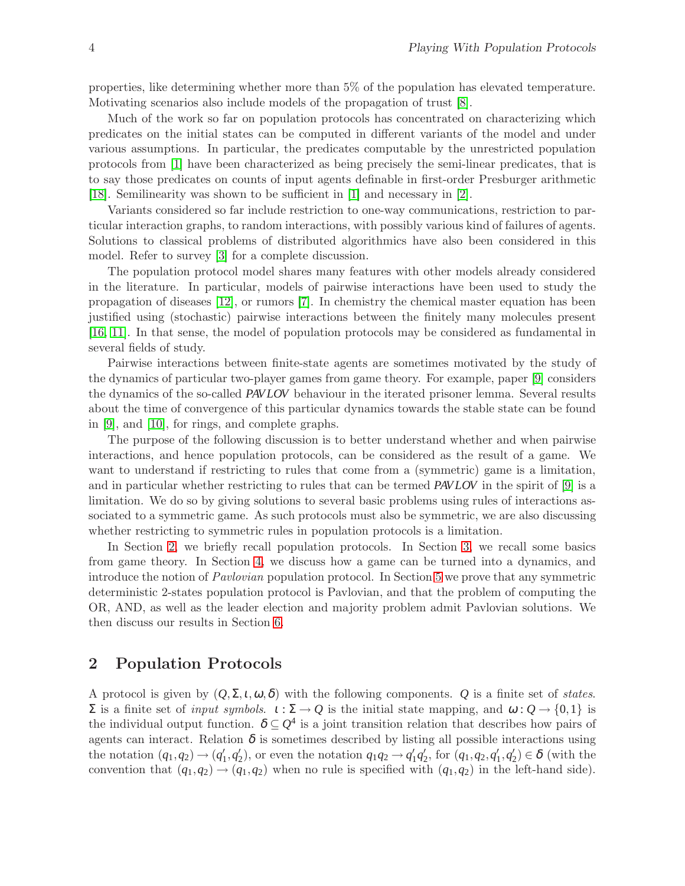properties, like determining whether more than 5% of the population has elevated temperature. Motivating scenarios also include models of the propagation of trust [\[8\]](#page-11-1).

Much of the work so far on population protocols has concentrated on characterizing which predicates on the initial states can be computed in different variants of the model and under various assumptions. In particular, the predicates computable by the unrestricted population protocols from [\[1\]](#page-11-0) have been characterized as being precisely the semi-linear predicates, that is to say those predicates on counts of input agents definable in first-order Presburger arithmetic [\[18\]](#page-12-1). Semilinearity was shown to be sufficient in [\[1\]](#page-11-0) and necessary in [\[2\]](#page-11-2).

Variants considered so far include restriction to one-way communications, restriction to particular interaction graphs, to random interactions, with possibly various kind of failures of agents. Solutions to classical problems of distributed algorithmics have also been considered in this model. Refer to survey [\[3\]](#page-11-3) for a complete discussion.

The population protocol model shares many features with other models already considered in the literature. In particular, models of pairwise interactions have been used to study the propagation of diseases [\[12\]](#page-11-4), or rumors [\[7\]](#page-11-5). In chemistry the chemical master equation has been justified using (stochastic) pairwise interactions between the finitely many molecules present [\[16,](#page-12-2) [11\]](#page-11-6). In that sense, the model of population protocols may be considered as fundamental in several fields of study.

Pairwise interactions between finite-state agents are sometimes motivated by the study of the dynamics of particular two-player games from game theory. For example, paper [\[9\]](#page-11-7) considers the dynamics of the so-called *PAV LOV* behaviour in the iterated prisoner lemma. Several results about the time of convergence of this particular dynamics towards the stable state can be found in [\[9\]](#page-11-7), and [\[10\]](#page-11-8), for rings, and complete graphs.

The purpose of the following discussion is to better understand whether and when pairwise interactions, and hence population protocols, can be considered as the result of a game. We want to understand if restricting to rules that come from a (symmetric) game is a limitation, and in particular whether restricting to rules that can be termed *PAV LOV* in the spirit of [\[9\]](#page-11-7) is a limitation. We do so by giving solutions to several basic problems using rules of interactions associated to a symmetric game. As such protocols must also be symmetric, we are also discussing whether restricting to symmetric rules in population protocols is a limitation.

In Section [2,](#page-1-0) we briefly recall population protocols. In Section [3,](#page-2-0) we recall some basics from game theory. In Section [4,](#page-5-0) we discuss how a game can be turned into a dynamics, and introduce the notion of *Pavlovian* population protocol. In Section [5](#page-6-0) we prove that any symmetric deterministic 2-states population protocol is Pavlovian, and that the problem of computing the OR, AND, as well as the leader election and majority problem admit Pavlovian solutions. We then discuss our results in Section [6.](#page-10-0)

## <span id="page-1-0"></span>2 Population Protocols

A protocol is given by  $(Q, \Sigma, t, \omega, \delta)$  with the following components. Q is a finite set of *states*.  $Σ$  is a finite set of *input symbols*.  $ι:Σ → Q$  is the initial state mapping, and  $ω: Q → \{0,1\}$  is the individual output function.  $\delta \subseteq Q^4$  is a joint transition relation that describes how pairs of agents can interact. Relation  $\delta$  is sometimes described by listing all possible interactions using the notation  $(q_1, q_2) \rightarrow (q'_1, q'_2)$ , or even the notation  $q_1q_2 \rightarrow q'_1q'_2$ , for  $(q_1, q_2, q'_1, q'_2) \in \delta$  (with the convention that  $(q_1, q_2) \rightarrow (q_1, q_2)$  when no rule is specified with  $(q_1, q_2)$  in the left-hand side).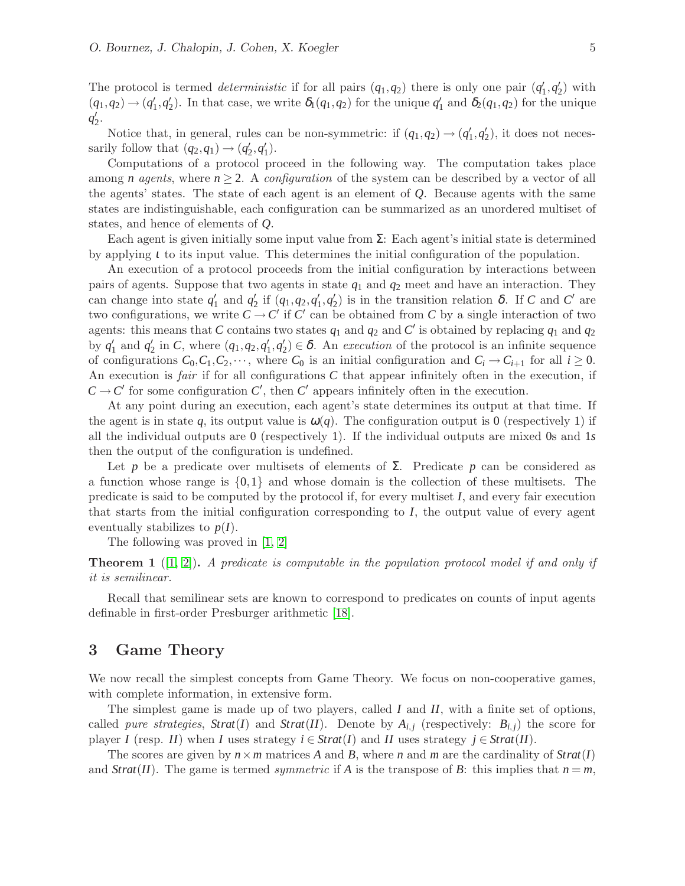The protocol is termed *deterministic* if for all pairs  $(q_1, q_2)$  there is only one pair  $(q'_1, q'_2)$  with  $(q_1, q_2) \rightarrow (q'_1, q'_2)$ . In that case, we write  $\delta_1(q_1, q_2)$  for the unique  $q'_1$  and  $\delta_2(q_1, q_2)$  for the unique  $q'_2$ .

Notice that, in general, rules can be non-symmetric: if  $(q_1, q_2) \rightarrow (q'_1, q'_2)$ , it does not necessarily follow that  $(q_2, q_1) \rightarrow (q'_2, q'_1)$ .

Computations of a protocol proceed in the following way. The computation takes place among *n* agents, where  $n \geq 2$ . A *configuration* of the system can be described by a vector of all the agents' states. The state of each agent is an element of *Q*. Because agents with the same states are indistinguishable, each configuration can be summarized as an unordered multiset of states, and hence of elements of *Q*.

Each agent is given initially some input value from  $\Sigma$ : Each agent's initial state is determined by applying <sup>ι</sup> to its input value. This determines the initial configuration of the population.

An execution of a protocol proceeds from the initial configuration by interactions between pairs of agents. Suppose that two agents in state *q*<sup>1</sup> and *q*<sup>2</sup> meet and have an interaction. They can change into state  $q'_1$  and  $q'_2$  if  $(q_1,q_2,q'_1,q'_2)$  is in the transition relation  $\delta$ . If *C* and *C'* are two configurations, we write  $C \to C'$  if  $C'$  can be obtained from  $C$  by a single interaction of two agents: this means that *C* contains two states  $q_1$  and  $q_2$  and *C'* is obtained by replacing  $q_1$  and  $q_2$ by  $q'_1$  and  $q'_2$  in *C*, where  $(q_1, q_2, q'_1, q'_2) \in \delta$ . An *execution* of the protocol is an infinite sequence of configurations  $C_0, C_1, C_2, \dots$ , where  $C_0$  is an initial configuration and  $C_i \rightarrow C_{i+1}$  for all  $i \geq 0$ . An execution is *fair* if for all configurations *C* that appear infinitely often in the execution, if  $C \rightarrow C'$  for some configuration  $C'$ , then  $C'$  appears infinitely often in the execution.

At any point during an execution, each agent's state determines its output at that time. If the agent is in state q, its output value is  $\omega(q)$ . The configuration output is 0 (respectively 1) if all the individual outputs are 0 (respectively 1). If the individual outputs are mixed 0s and 1*s* then the output of the configuration is undefined.

Let *p* be a predicate over multisets of elements of  $\Sigma$ . Predicate *p* can be considered as a function whose range is  $\{0,1\}$  and whose domain is the collection of these multisets. The predicate is said to be computed by the protocol if, for every multiset *I*, and every fair execution that starts from the initial configuration corresponding to *I*, the output value of every agent eventually stabilizes to  $p(I)$ .

The following was proved in [\[1,](#page-11-0) [2\]](#page-11-2)

Theorem 1 ([\[1,](#page-11-0) [2\]](#page-11-2)). *A predicate is computable in the population protocol model if and only if it is semilinear.*

Recall that semilinear sets are known to correspond to predicates on counts of input agents definable in first-order Presburger arithmetic [\[18\]](#page-12-1).

### <span id="page-2-0"></span>3 Game Theory

We now recall the simplest concepts from Game Theory. We focus on non-cooperative games, with complete information, in extensive form.

The simplest game is made up of two players, called *I* and *II*, with a finite set of options, called *pure strategies*,  $Strat(I)$  and  $Strat(II)$ . Denote by  $A_{i,j}$  (respectively:  $B_{i,j}$ ) the score for player *I* (resp. *II*) when *I* uses strategy  $i \in \text{Strat}(I)$  and *II* uses strategy  $j \in \text{Strat}(II)$ .

The scores are given by  $n \times m$  matrices *A* and *B*, where *n* and *m* are the cardinality of  $Strat(I)$ and *Strat*(*II*). The game is termed *symmetric* if *A* is the transpose of *B*: this implies that  $n = m$ ,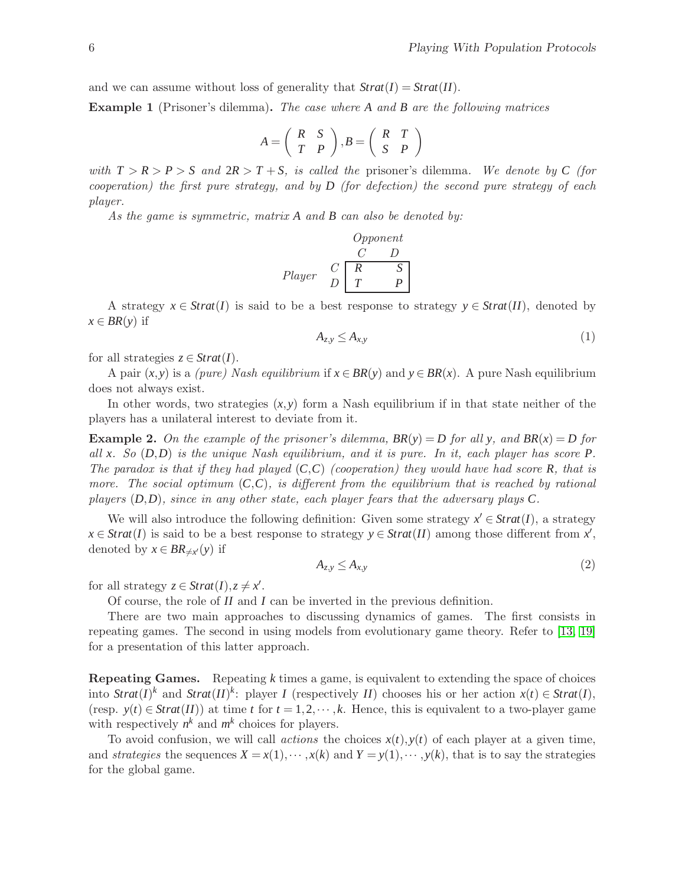and we can assume without loss of generality that  $Strat(I) = Strat(I)$ .

Example 1 (Prisoner's dilemma). *The case where A and B are the following matrices*

$$
A = \left(\begin{array}{cc} R & S \\ T & P \end{array}\right), B = \left(\begin{array}{cc} R & T \\ S & P \end{array}\right)
$$

*with*  $T > R > P > S$  *and*  $2R > T + S$ *, is called the* prisoner's dilemma*. We denote by C (for cooperation) the first pure strategy, and by D (for defection) the second pure strategy of each player.*

*As the game is symmetric, matrix A and B can also be denoted by:*

| Opponent |     |     |     |
|----------|-----|-----|-----|
| $C$      | $D$ |     |     |
| $Player$ | $C$ | $R$ | $S$ |
| $T$      | $P$ |     |     |

A strategy  $x \in \text{Strat}(I)$  is said to be a best response to strategy  $y \in \text{Strat}(II)$ , denoted by  $x \in BR(y)$  if

$$
A_{z,y} \le A_{x,y} \tag{1}
$$

for all strategies  $z \in \text{Strat}(I)$ .

A pair  $(x, y)$  is a *(pure) Nash equilibrium* if  $x \in BR(y)$  and  $y \in BR(x)$ . A pure Nash equilibrium does not always exist.

In other words, two strategies  $(x, y)$  form a Nash equilibrium if in that state neither of the players has a unilateral interest to deviate from it.

**Example 2.** On the example of the prisoner's dilemma,  $BR(y) = D$  for all v, and  $BR(x) = D$  for *all x. So* (*D*,*D*) *is the unique Nash equilibrium, and it is pure. In it, each player has score P. The paradox is that if they had played* (*C*,*C*) *(cooperation) they would have had score R, that is more. The social optimum* (*C*,*C*)*, is different from the equilibrium that is reached by rational players* (*D*,*D*)*, since in any other state, each player fears that the adversary plays C.*

We will also introduce the following definition: Given some strategy  $x' \in \text{Strat}(I)$ , a strategy  $x \in \text{Strat}(I)$  is said to be a best response to strategy  $y \in \text{Strat}(II)$  among those different from  $x'$ , denoted by  $x \in BR_{\neq x'}(y)$  if

$$
A_{z,y} \le A_{x,y} \tag{2}
$$

for all strategy  $z \in \text{Strat}(I), z \neq x'$ .

Of course, the role of *II* and *I* can be inverted in the previous definition.

There are two main approaches to discussing dynamics of games. The first consists in repeating games. The second in using models from evolutionary game theory. Refer to [\[13,](#page-11-9) [19\]](#page-12-3) for a presentation of this latter approach.

Repeating Games. Repeating *k* times a game, is equivalent to extending the space of choices into *Strat*(*I*)<sup>*k*</sup> and *Strat*(*II*)<sup>*k*</sup>: player *I* (respectively *II*) chooses his or her action  $x(t) \in \text{Strat}(I)$ , (resp.  $y(t) \in \text{Strat}(H)$ ) at time *t* for  $t = 1, 2, \dots, k$ . Hence, this is equivalent to a two-player game with respectively  $n^k$  and  $m^k$  choices for players.

To avoid confusion, we will call *actions* the choices  $x(t)$ ,  $y(t)$  of each player at a given time, and *strategies* the sequences  $X = x(1), \dots, x(k)$  and  $Y = y(1), \dots, y(k)$ , that is to say the strategies for the global game.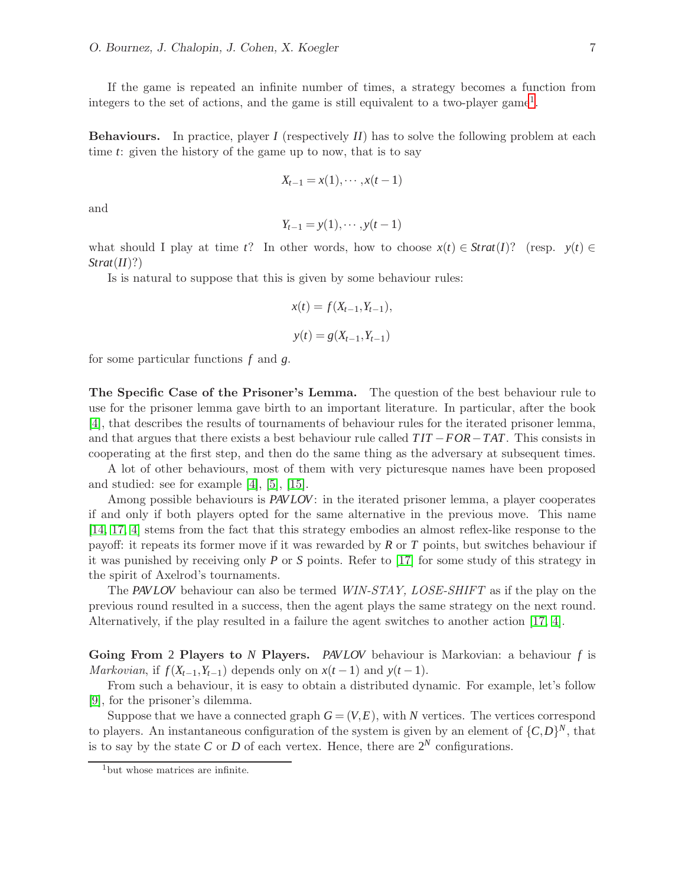If the game is repeated an infinite number of times, a strategy becomes a function from integers to the set of actions, and the game is still equivalent to a two-player game[1](#page-4-0) .

Behaviours. In practice, player *I* (respectively *II*) has to solve the following problem at each time *t*: given the history of the game up to now, that is to say

$$
X_{t-1}=x(1),\cdots,x(t-1)
$$

and

$$
Y_{t-1}=y(1),\cdots,y(t-1)
$$

what should I play at time *t*? In other words, how to choose  $x(t) \in \text{Strat}(I)$ ? (resp.  $y(t) \in$ *Strat*(*II*)?)

Is is natural to suppose that this is given by some behaviour rules:

$$
x(t) = f(X_{t-1}, Y_{t-1}),
$$
  

$$
y(t) = g(X_{t-1}, Y_{t-1})
$$

for some particular functions *f* and *g*.

The Specific Case of the Prisoner's Lemma. The question of the best behaviour rule to use for the prisoner lemma gave birth to an important literature. In particular, after the book [\[4\]](#page-11-10), that describes the results of tournaments of behaviour rules for the iterated prisoner lemma, and that argues that there exists a best behaviour rule called *T IT* −*FOR*−*TAT*. This consists in cooperating at the first step, and then do the same thing as the adversary at subsequent times.

A lot of other behaviours, most of them with very picturesque names have been proposed and studied: see for example [\[4\]](#page-11-10), [\[5\]](#page-11-11), [\[15\]](#page-11-12).

Among possible behaviours is *PAV LOV*: in the iterated prisoner lemma, a player cooperates if and only if both players opted for the same alternative in the previous move. This name [\[14,](#page-11-13) [17,](#page-12-4) [4\]](#page-11-10) stems from the fact that this strategy embodies an almost reflex-like response to the payoff: it repeats its former move if it was rewarded by *R* or *T* points, but switches behaviour if it was punished by receiving only *P* or *S* points. Refer to [\[17\]](#page-12-4) for some study of this strategy in the spirit of Axelrod's tournaments.

The *PAV LOV* behaviour can also be termed *WIN-STAY, LOSE-SHIFT* as if the play on the previous round resulted in a success, then the agent plays the same strategy on the next round. Alternatively, if the play resulted in a failure the agent switches to another action [\[17,](#page-12-4) [4\]](#page-11-10).

Going From 2 Players to *N* Players. *PAV LOV* behaviour is Markovian: a behaviour *f* is *Markovian*, if  $f(X_{t-1}, Y_{t-1})$  depends only on  $x(t-1)$  and  $y(t-1)$ .

From such a behaviour, it is easy to obtain a distributed dynamic. For example, let's follow [\[9\]](#page-11-7), for the prisoner's dilemma.

Suppose that we have a connected graph  $G = (V, E)$ , with N vertices. The vertices correspond to players. An instantaneous configuration of the system is given by an element of  $\{C,D\}^N$ , that is to say by the state *C* or *D* of each vertex. Hence, there are  $2^N$  configurations.

<span id="page-4-0"></span><sup>&</sup>lt;sup>1</sup>but whose matrices are infinite.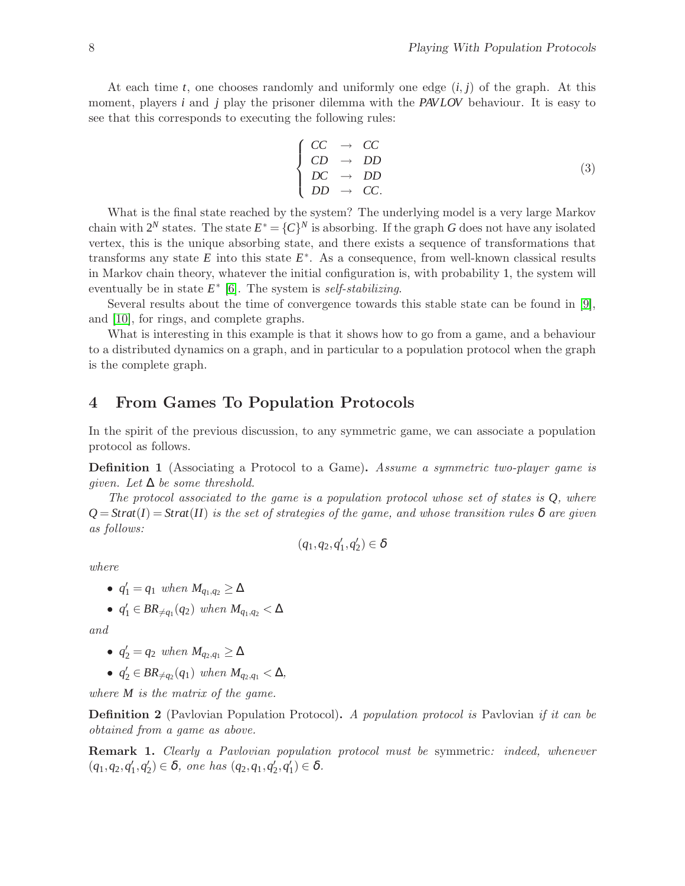At each time *t*, one chooses randomly and uniformly one edge (*i*, *j*) of the graph. At this moment, players *i* and *j* play the prisoner dilemma with the *PAV LOV* behaviour. It is easy to see that this corresponds to executing the following rules:

$$
\begin{cases}\nCC & \to & CC \\
CD & \to & DD \\
DC & \to & DD \\
DD & \to & CC.\n\end{cases}
$$
\n(3)

What is the final state reached by the system? The underlying model is a very large Markov chain with  $2^N$  states. The state  $E^* = \{C\}^N$  is absorbing. If the graph *G* does not have any isolated vertex, this is the unique absorbing state, and there exists a sequence of transformations that transforms any state  $E$  into this state  $E^*$ . As a consequence, from well-known classical results in Markov chain theory, whatever the initial configuration is, with probability 1, the system will eventually be in state *E* ∗ [\[6\]](#page-11-14). The system is *self-stabilizing*.

Several results about the time of convergence towards this stable state can be found in [\[9\]](#page-11-7), and [\[10\]](#page-11-8), for rings, and complete graphs.

What is interesting in this example is that it shows how to go from a game, and a behaviour to a distributed dynamics on a graph, and in particular to a population protocol when the graph is the complete graph.

# <span id="page-5-0"></span>4 From Games To Population Protocols

In the spirit of the previous discussion, to any symmetric game, we can associate a population protocol as follows.

Definition 1 (Associating a Protocol to a Game). *Assume a symmetric two-player game is given. Let* ∆ *be some threshold.*

*The protocol associated to the game is a population protocol whose set of states is Q, where*  $Q = \text{Strat}(I) = \text{Strat}(II)$  *is the set of strategies of the game, and whose transition rules*  $\delta$  *are given as follows:*

$$
(q_1,q_2,q_1',q_2')\in \delta
$$

*where*

• 
$$
q'_1 = q_1
$$
 when  $M_{q_1,q_2} \ge \Delta$ 

• 
$$
q'_1 \in BR_{\neq q_1}(q_2)
$$
 when  $M_{q_1,q_2} < \Delta$ 

*and*

• 
$$
q'_2 = q_2
$$
 when  $M_{q_2,q_1} \ge \Delta$ 

•  $q'_2 \in BR_{\neq q_2}(q_1)$  when  $M_{q_2,q_1} < \Delta$ ,

*where M is the matrix of the game.*

Definition 2 (Pavlovian Population Protocol). *A population protocol is* Pavlovian *if it can be obtained from a game as above.*

Remark 1. *Clearly a Pavlovian population protocol must be* symmetric*: indeed, whenever*  $(q_1, q_2, q'_1, q'_2) \in \delta$ , one has  $(q_2, q_1, q'_2, q'_1) \in \delta$ .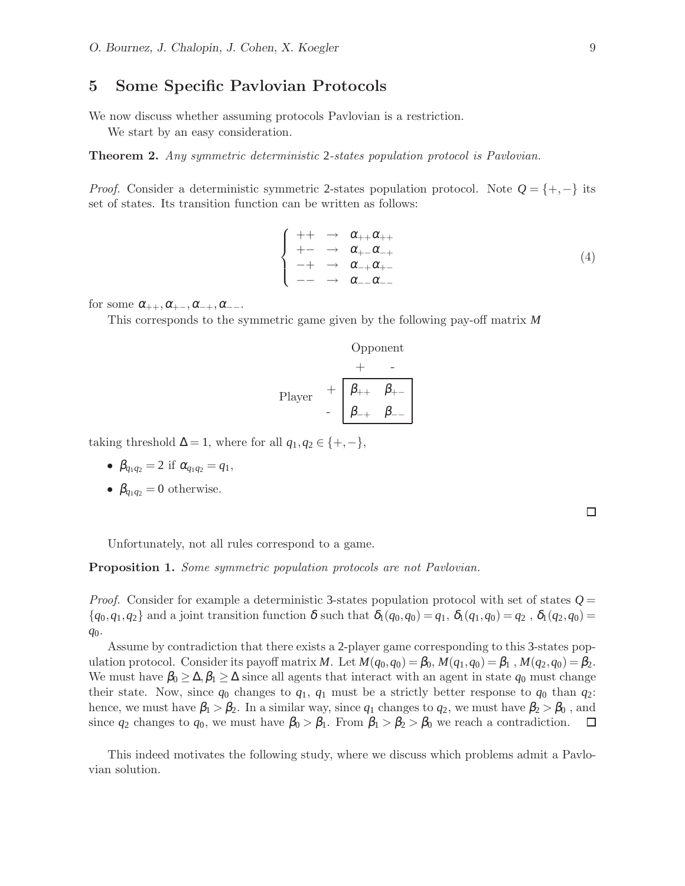# <span id="page-6-0"></span>5 Some Specific Pavlovian Protocols

We now discuss whether assuming protocols Pavlovian is a restriction.

We start by an easy consideration.

Theorem 2. *Any symmetric deterministic* 2*-states population protocol is Pavlovian.*

*Proof.* Consider a deterministic symmetric 2-states population protocol. Note *Q* = {+,−} its set of states. Its transition function can be written as follows:

$$
\begin{cases}\n++ & \to & \alpha_{++}\alpha_{++} \\
+- & \to & \alpha_{+-}\alpha_{-+} \\
-+ & \to & \alpha_{-+}\alpha_{+-} \\
-- & \to & \alpha_{--}\alpha_{--}\n\end{cases} (4)
$$

for some  $\alpha_{++}, \alpha_{+-}, \alpha_{-+}, \alpha_{--}$ .

This corresponds to the symmetric game given by the following pay-off matrix *M*

Opponent

\n
$$
+ -
$$
\nPlayer

\n
$$
+ \overline{\beta_{++} \beta_{+-}}
$$
\n
$$
- \overline{\beta_{-+} \beta_{--}}
$$

taking threshold  $\Delta = 1$ , where for all  $q_1, q_2 \in \{+, -\},$ 

- $\beta_{q_1q_2} = 2$  if  $\alpha_{q_1q_2} = q_1$ ,
- $\beta_{q_1q_2} = 0$  otherwise.

Unfortunately, not all rules correspond to a game.

Proposition 1. *Some symmetric population protocols are not Pavlovian.*

*Proof.* Consider for example a deterministic 3-states population protocol with set of states  $Q =$  ${q_0, q_1, q_2}$  and a joint transition function  $\delta$  such that  $\delta_1(q_0, q_0) = q_1, \delta_1(q_1, q_0) = q_2, \delta_1(q_2, q_0) =$ *q*0.

Assume by contradiction that there exists a 2-player game corresponding to this 3-states population protocol. Consider its payoff matrix *M*. Let  $M(q_0, q_0) = \beta_0, M(q_1, q_0) = \beta_1, M(q_2, q_0) = \beta_2$ . We must have  $\beta_0 \geq \Delta, \beta_1 \geq \Delta$  since all agents that interact with an agent in state  $q_0$  must change their state. Now, since  $q_0$  changes to  $q_1$ ,  $q_1$  must be a strictly better response to  $q_0$  than  $q_2$ : hence, we must have  $\beta_1 > \beta_2$ . In a similar way, since  $q_1$  changes to  $q_2$ , we must have  $\beta_2 > \beta_0$ , and since  $q_2$  changes to  $q_0$ , we must have  $\beta_0 > \beta_1$ . From  $\beta_1 > \beta_2 > \beta_0$  we reach a contradiction.  $\Box$ 

This indeed motivates the following study, where we discuss which problems admit a Pavlovian solution.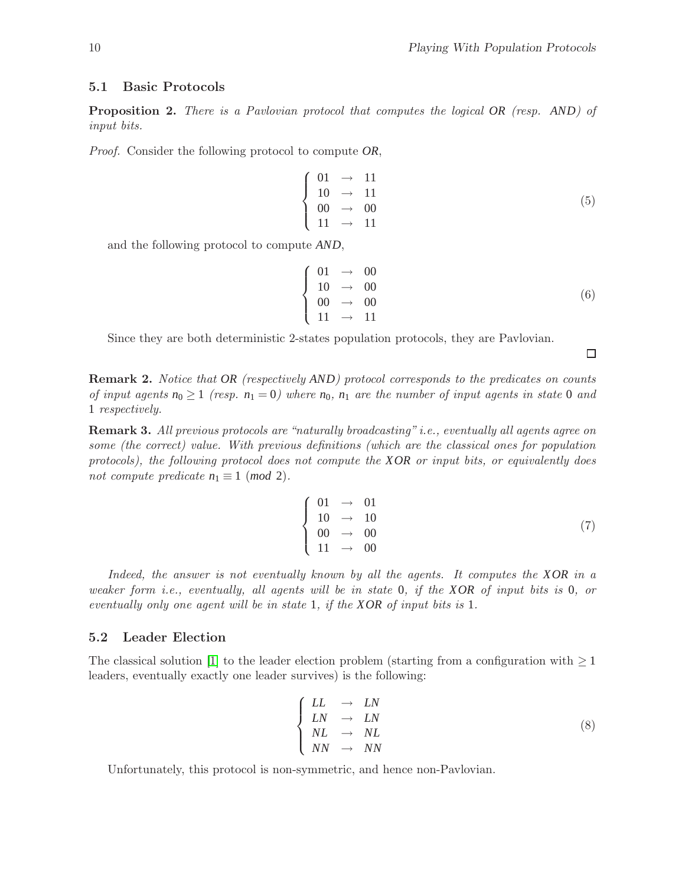### 5.1 Basic Protocols

Proposition 2. *There is a Pavlovian protocol that computes the logical OR (resp. AND) of input bits.*

*Proof.* Consider the following protocol to compute *OR*,

$$
\begin{cases}\n01 & \to & 11 \\
10 & \to & 11 \\
00 & \to & 00 \\
11 & \to & 11\n\end{cases}
$$
\n(5)

and the following protocol to compute *AND*,

$$
\begin{cases}\n01 & \to & 00 \\
10 & \to & 00 \\
00 & \to & 00 \\
11 & \to & 11\n\end{cases}
$$
\n(6)

Since they are both deterministic 2-states population protocols, they are Pavlovian.

Remark 2. *Notice that OR (respectively AND) protocol corresponds to the predicates on counts of input agents*  $n_0 \geq 1$  (resp.  $n_1 = 0$ ) where  $n_0$ ,  $n_1$  are the number of input agents in state 0 and 1 *respectively.*

Remark 3. *All previous protocols are "naturally broadcasting" i.e., eventually all agents agree on some (the correct) value. With previous definitions (which are the classical ones for population protocols), the following protocol does not compute the XOR or input bits, or equivalently does not compute predicate*  $n_1 \equiv 1 \pmod{2}$ .

$$
\begin{cases}\n01 & \to & 01 \\
10 & \to & 10 \\
00 & \to & 00 \\
11 & \to & 00\n\end{cases}
$$
\n(7)

*Indeed, the answer is not eventually known by all the agents. It computes the XOR in a weaker form i.e., eventually, all agents will be in state* 0*, if the XOR of input bits is* 0*, or eventually only one agent will be in state* 1*, if the XOR of input bits is* 1*.*

#### 5.2 Leader Election

The classical solution [\[1\]](#page-11-0) to the leader election problem (starting from a configuration with  $\geq 1$ ) leaders, eventually exactly one leader survives) is the following:

$$
\begin{cases}\nLL & \to \ LN \\
LN & \to \ LN \\
NL & \to \ NL \\
NN & \to \ NN\n\end{cases}
$$
\n(8)

Unfortunately, this protocol is non-symmetric, and hence non-Pavlovian.

 $\Box$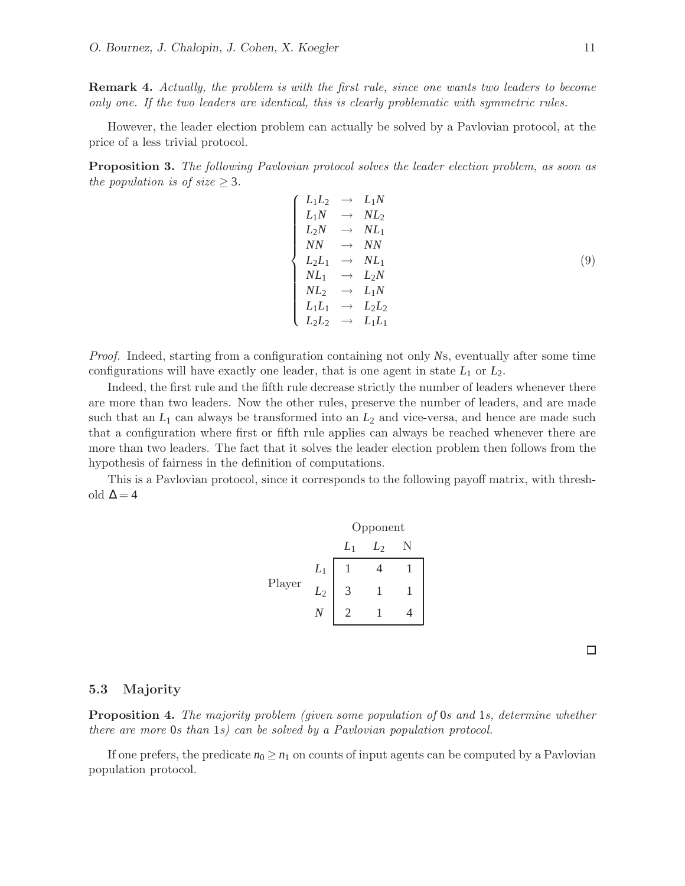Remark 4. *Actually, the problem is with the first rule, since one wants two leaders to become only one. If the two leaders are identical, this is clearly problematic with symmetric rules.*

However, the leader election problem can actually be solved by a Pavlovian protocol, at the price of a less trivial protocol.

Proposition 3. *The following Pavlovian protocol solves the leader election problem, as soon as the population is of size*  $\geq$  3*.* 

| $\left\{ \begin{array}{ccc} L_1L_2 & \rightarrow & L_1N \\ L_1N & \rightarrow & NL_2 \\ L_2N & \rightarrow & NL_1 \\ NN & \rightarrow & NN \end{array} \right.$ |  |     |
|-----------------------------------------------------------------------------------------------------------------------------------------------------------------|--|-----|
|                                                                                                                                                                 |  |     |
|                                                                                                                                                                 |  |     |
|                                                                                                                                                                 |  | (9) |
|                                                                                                                                                                 |  |     |
|                                                                                                                                                                 |  |     |
|                                                                                                                                                                 |  |     |
| $\left\{ \begin{array}{ccc} L_2L_1 & \to & NL_1\ NL_1 & \to & L_2N\ NL_2 & \to & L_1N\ L_1L_1 & \to & L_2L_2\ L_2L_2 & \to & L_1L_1 \end{array} \right.$        |  |     |

*Proof.* Indeed, starting from a configuration containing not only *N*s, eventually after some time configurations will have exactly one leader, that is one agent in state  $L_1$  or  $L_2$ .

Indeed, the first rule and the fifth rule decrease strictly the number of leaders whenever there are more than two leaders. Now the other rules, preserve the number of leaders, and are made such that an  $L_1$  can always be transformed into an  $L_2$  and vice-versa, and hence are made such that a configuration where first or fifth rule applies can always be reached whenever there are more than two leaders. The fact that it solves the leader election problem then follows from the hypothesis of fairness in the definition of computations.

This is a Pavlovian protocol, since it corresponds to the following payoff matrix, with threshold  $\Delta$  = 4



 $\Box$ 

### 5.3 Majority

Proposition 4. *The majority problem (given some population of* 0*s and* 1*s, determine whether there are more* 0*s than* 1*s) can be solved by a Pavlovian population protocol.*

If one prefers, the predicate  $n_0 \geq n_1$  on counts of input agents can be computed by a Pavlovian population protocol.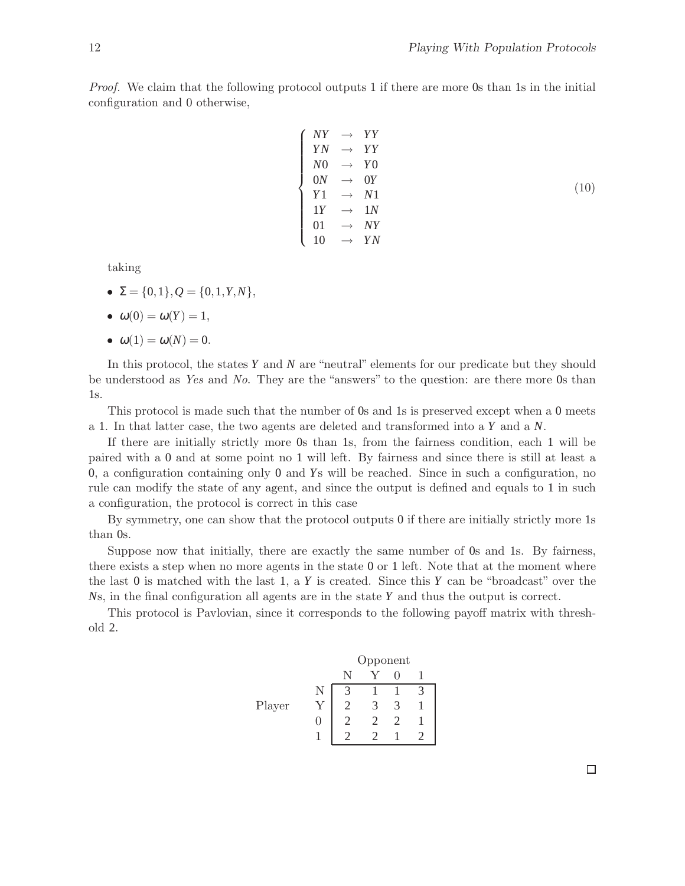*Proof.* We claim that the following protocol outputs 1 if there are more 0s than 1s in the initial configuration and 0 otherwise,

$$
\begin{cases}\nNY & \to & YY \\
YN & \to & YY \\
N0 & \to & Y0 \\
0N & \to & 0Y \\
Y1 & \to & N1 \\
1Y & \to & 1N \\
01 & \to & NY \\
10 & \to & YN\n\end{cases}
$$
\n(10)

taking

- $\Sigma = \{0,1\}, Q = \{0,1,Y,N\},\$
- $\bullet \ \omega(0) = \omega(Y) = 1,$

$$
\bullet \ \omega(1) = \omega(N) = 0.
$$

In this protocol, the states *Y* and *N* are "neutral" elements for our predicate but they should be understood as *Yes* and *No*. They are the "answers" to the question: are there more 0s than 1s.

This protocol is made such that the number of 0s and 1s is preserved except when a 0 meets a 1. In that latter case, the two agents are deleted and transformed into a *Y* and a *N*.

If there are initially strictly more 0s than 1s, from the fairness condition, each 1 will be paired with a 0 and at some point no 1 will left. By fairness and since there is still at least a 0, a configuration containing only 0 and *Y*s will be reached. Since in such a configuration, no rule can modify the state of any agent, and since the output is defined and equals to 1 in such a configuration, the protocol is correct in this case

By symmetry, one can show that the protocol outputs 0 if there are initially strictly more 1s than 0s.

Suppose now that initially, there are exactly the same number of 0s and 1s. By fairness, there exists a step when no more agents in the state 0 or 1 left. Note that at the moment where the last 0 is matched with the last 1, a *Y* is created. Since this *Y* can be "broadcast" over the *N*s, in the final configuration all agents are in the state *Y* and thus the output is correct.

This protocol is Pavlovian, since it corresponds to the following payoff matrix with threshold 2.

|        | Opponent |  |  |  |  |
|--------|----------|--|--|--|--|
|        |          |  |  |  |  |
|        |          |  |  |  |  |
| Player |          |  |  |  |  |
|        |          |  |  |  |  |
|        |          |  |  |  |  |

 $\Box$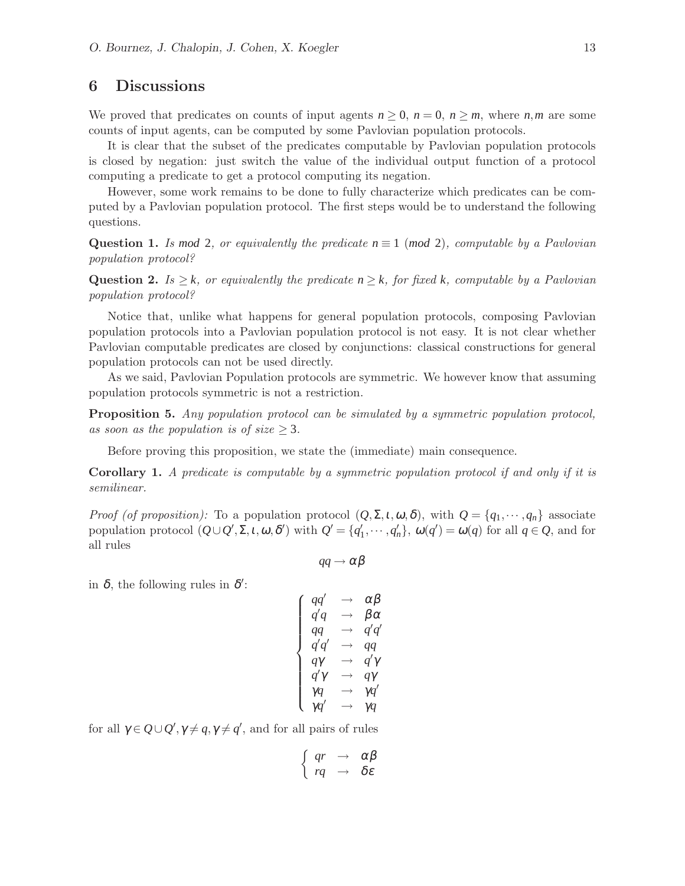## <span id="page-10-0"></span>6 Discussions

We proved that predicates on counts of input agents  $n \geq 0$ ,  $n = 0$ ,  $n \geq m$ , where *n*,*m* are some counts of input agents, can be computed by some Pavlovian population protocols.

It is clear that the subset of the predicates computable by Pavlovian population protocols is closed by negation: just switch the value of the individual output function of a protocol computing a predicate to get a protocol computing its negation.

However, some work remains to be done to fully characterize which predicates can be computed by a Pavlovian population protocol. The first steps would be to understand the following questions.

Question 1. *Is mod* 2, or equivalently the predicate  $n \equiv 1 \pmod{2}$ , computable by a Pavlovian *population protocol?*

Question 2. *Is*  $\geq k$ *, or equivalently the predicate*  $n \geq k$ *, for fixed k, computable by a Pavlovian population protocol?*

Notice that, unlike what happens for general population protocols, composing Pavlovian population protocols into a Pavlovian population protocol is not easy. It is not clear whether Pavlovian computable predicates are closed by conjunctions: classical constructions for general population protocols can not be used directly.

As we said, Pavlovian Population protocols are symmetric. We however know that assuming population protocols symmetric is not a restriction.

Proposition 5. *Any population protocol can be simulated by a symmetric population protocol,* as soon as the population is of size  $\geq$  3.

Before proving this proposition, we state the (immediate) main consequence.

Corollary 1. *A predicate is computable by a symmetric population protocol if and only if it is semilinear.*

*Proof (of proposition):* To a population protocol  $(Q, \Sigma, t, \omega, \delta)$ , with  $Q = \{q_1, \dots, q_n\}$  associate population protocol  $(Q \cup Q', \Sigma, \iota, \omega, \delta')$  with  $Q' = \{q'_1, \dots, q'_n\}$ ,  $\omega(q') = \omega(q)$  for all  $q \in Q$ , and for all rules

$$
qq\to\alpha\beta
$$

in  $\delta$ , the following rules in  $\delta'$ :

$$
\left\{\begin{array}{l} qq' & \to & \alpha\beta\\ q'q & \to & \beta\alpha\\ qq & \to & q'q'\\ q'q' & \to & qq\\ q\gamma & \to & q'\gamma\\ q'\gamma & \to & q\gamma\\ \gamma q & \to & \gamma q'\\ \gamma q' & \to & \gamma q\end{array}\right.
$$

for all  $\gamma \in Q \cup Q'$ ,  $\gamma \neq q$ ,  $\gamma \neq q'$ , and for all pairs of rules

$$
\left\{\begin{array}{ccc}qr & \to & \alpha\beta\\rq & \to & \delta\varepsilon\end{array}\right.
$$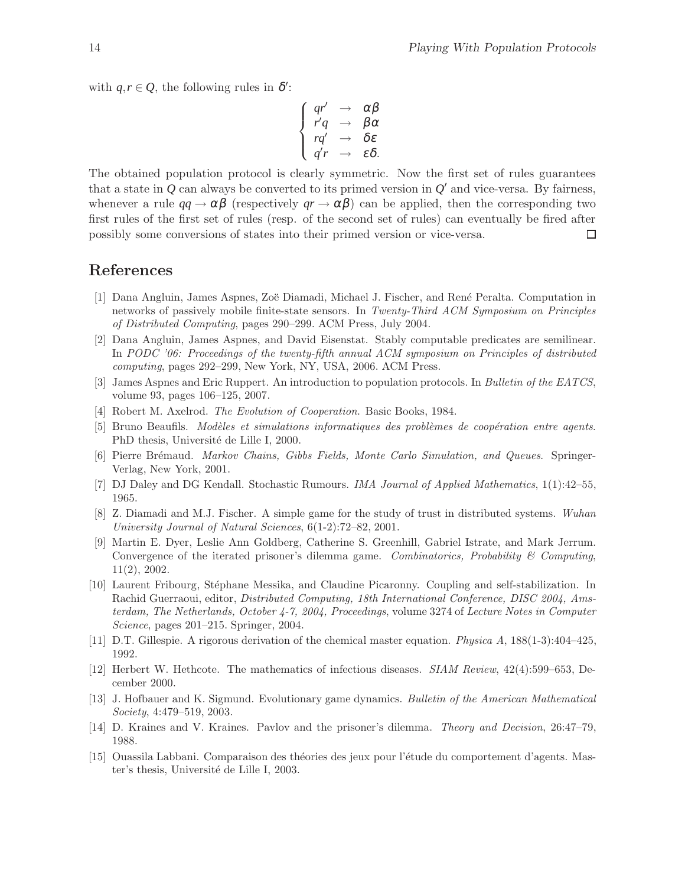with  $q, r \in \mathcal{Q}$ , the following rules in  $\delta'$ :

$$
\begin{cases}\nqr' & \to \alpha \beta \\
r'q & \to \beta \alpha \\
rq' & \to \delta \varepsilon \\
q'r & \to \varepsilon \delta.\n\end{cases}
$$

The obtained population protocol is clearly symmetric. Now the first set of rules guarantees that a state in  $Q$  can always be converted to its primed version in  $Q'$  and vice-versa. By fairness, whenever a rule  $qq \to \alpha \beta$  (respectively  $qr \to \alpha \beta$ ) can be applied, then the corresponding two first rules of the first set of rules (resp. of the second set of rules) can eventually be fired after possibly some conversions of states into their primed version or vice-versa.  $\Box$ 

### <span id="page-11-0"></span>References

- [1] Dana Angluin, James Aspnes, Zoë Diamadi, Michael J. Fischer, and René Peralta. Computation in networks of passively mobile finite-state sensors. In *Twenty-Third ACM Symposium on Principles of Distributed Computing*, pages 290–299. ACM Press, July 2004.
- <span id="page-11-2"></span>[2] Dana Angluin, James Aspnes, and David Eisenstat. Stably computable predicates are semilinear. In *PODC '06: Proceedings of the twenty-fifth annual ACM symposium on Principles of distributed computing*, pages 292–299, New York, NY, USA, 2006. ACM Press.
- <span id="page-11-10"></span><span id="page-11-3"></span>[3] James Aspnes and Eric Ruppert. An introduction to population protocols. In *Bulletin of the EATCS*, volume 93, pages 106–125, 2007.
- <span id="page-11-11"></span>[4] Robert M. Axelrod. *The Evolution of Cooperation*. Basic Books, 1984.
- <span id="page-11-14"></span>[5] Bruno Beaufils. *Mod`eles et simulations informatiques des probl`emes de coop´eration entre agents*. PhD thesis, Université de Lille I, 2000.
- <span id="page-11-5"></span>[6] Pierre Br´emaud. *Markov Chains, Gibbs Fields, Monte Carlo Simulation, and Queues*. Springer-Verlag, New York, 2001.
- <span id="page-11-1"></span>[7] DJ Daley and DG Kendall. Stochastic Rumours. *IMA Journal of Applied Mathematics*, 1(1):42–55, 1965.
- <span id="page-11-7"></span>[8] Z. Diamadi and M.J. Fischer. A simple game for the study of trust in distributed systems. *Wuhan University Journal of Natural Sciences*, 6(1-2):72–82, 2001.
- [9] Martin E. Dyer, Leslie Ann Goldberg, Catherine S. Greenhill, Gabriel Istrate, and Mark Jerrum. Convergence of the iterated prisoner's dilemma game. *Combinatorics, Probability & Computing*, 11(2), 2002.
- <span id="page-11-8"></span>[10] Laurent Fribourg, Stéphane Messika, and Claudine Picaronny. Coupling and self-stabilization. In Rachid Guerraoui, editor, *Distributed Computing, 18th International Conference, DISC 2004, Amsterdam, The Netherlands, October 4-7, 2004, Proceedings*, volume 3274 of *Lecture Notes in Computer Science*, pages 201–215. Springer, 2004.
- <span id="page-11-6"></span><span id="page-11-4"></span>[11] D.T. Gillespie. A rigorous derivation of the chemical master equation. *Physica A*, 188(1-3):404–425, 1992.
- <span id="page-11-9"></span>[12] Herbert W. Hethcote. The mathematics of infectious diseases. *SIAM Review*, 42(4):599–653, December 2000.
- [13] J. Hofbauer and K. Sigmund. Evolutionary game dynamics. *Bulletin of the American Mathematical Society*, 4:479–519, 2003.
- <span id="page-11-13"></span><span id="page-11-12"></span>[14] D. Kraines and V. Kraines. Pavlov and the prisoner's dilemma. *Theory and Decision*, 26:47–79, 1988.
- [15] Ouassila Labbani. Comparaison des théories des jeux pour l'étude du comportement d'agents. Master's thesis, Université de Lille I, 2003.